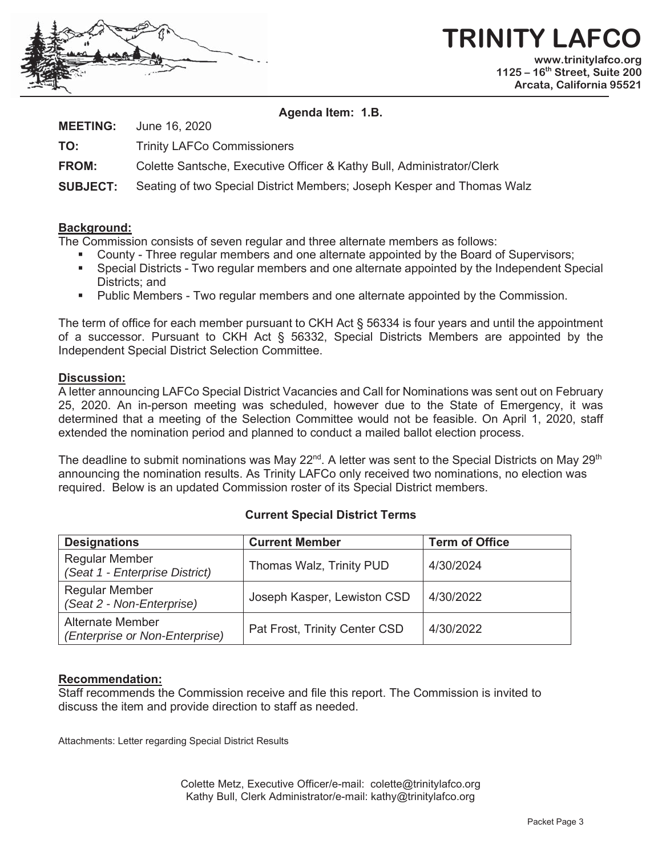

# **TRINITY LAFC www.trinitylafco.org**

**1125 – 16th Street, Suite 200 Arcata, California 95521** 

#### **Agenda Item: 1.B.**

**MEETING:** June 16, 2020

**TO:** Trinity LAFCo Commissioners

**FROM:** Colette Santsche, Executive Officer & Kathy Bull, Administrator/Clerk

**SUBJECT:** Seating of two Special District Members; Joseph Kesper and Thomas Walz

### **Background:**

The Commission consists of seven regular and three alternate members as follows:

- County Three regular members and one alternate appointed by the Board of Supervisors;
- Special Districts Two regular members and one alternate appointed by the Independent Special Districts; and
- Public Members Two regular members and one alternate appointed by the Commission.

The term of office for each member pursuant to CKH Act § 56334 is four years and until the appointment of a successor. Pursuant to CKH Act § 56332, Special Districts Members are appointed by the Independent Special District Selection Committee.

### **Discussion:**

A letter announcing LAFCo Special District Vacancies and Call for Nominations was sent out on February 25, 2020. An in-person meeting was scheduled, however due to the State of Emergency, it was determined that a meeting of the Selection Committee would not be feasible. On April 1, 2020, staff extended the nomination period and planned to conduct a mailed ballot election process.

The deadline to submit nominations was May 22<sup>nd</sup>. A letter was sent to the Special Districts on May 29<sup>th</sup> announcing the nomination results. As Trinity LAFCo only received two nominations, no election was required. Below is an updated Commission roster of its Special District members.

## **Current Special District Terms**

| <b>Designations</b>                                       | <b>Current Member</b>         | <b>Term of Office</b> |
|-----------------------------------------------------------|-------------------------------|-----------------------|
| <b>Regular Member</b><br>(Seat 1 - Enterprise District)   | Thomas Walz, Trinity PUD      | 4/30/2024             |
| <b>Regular Member</b><br>(Seat 2 - Non-Enterprise)        | Joseph Kasper, Lewiston CSD   | 4/30/2022             |
| <b>Alternate Member</b><br>(Enterprise or Non-Enterprise) | Pat Frost, Trinity Center CSD | 4/30/2022             |

### **Recommendation:**

Staff recommends the Commission receive and file this report. The Commission is invited to discuss the item and provide direction to staff as needed.

Attachments: Letter regarding Special District Results